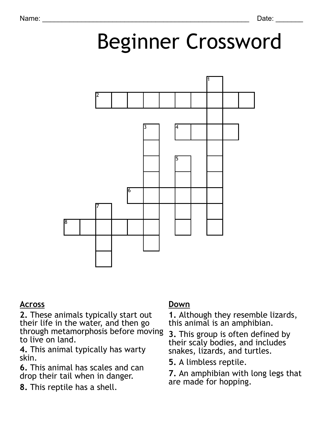# Beginner Crossword



#### **Across**

**2.** These animals typically start out their life in the water, and then go through metamorphosis before moving to live on land.

**4.** This animal typically has warty skin.

**6.** This animal has scales and can drop their tail when in danger.

**8.** This reptile has a shell.

### **Down**

**1.** Although they resemble lizards, this animal is an amphibian.

**3.** This group is often defined by their scaly bodies, and includes snakes, lizards, and turtles.

**5.** A limbless reptile.

**7.** An amphibian with long legs that are made for hopping.